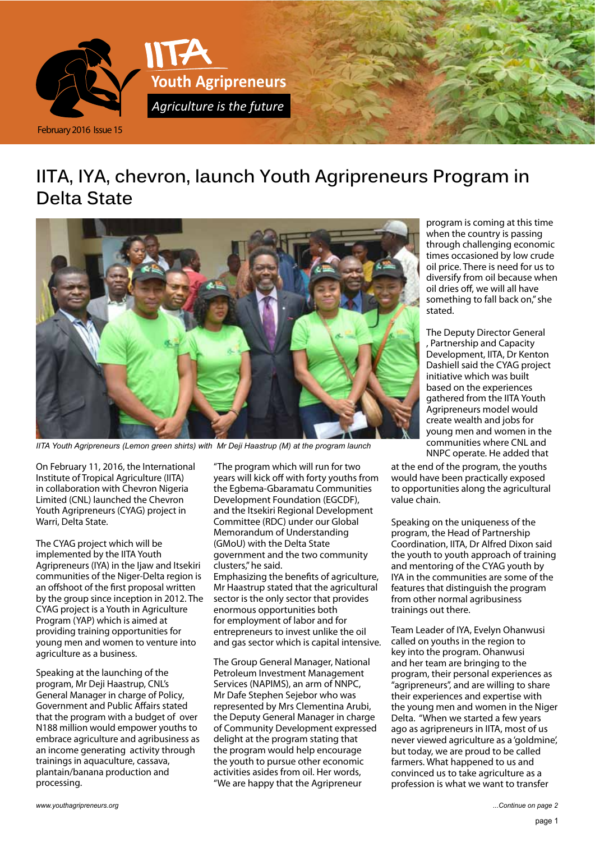

# **IITA, IYA, chevron, launch Youth Agripreneurs Program in Delta State**



*IITA Youth Agripreneurs (Lemon green shirts) with Mr Deji Haastrup (M) at the program launch*

On February 11, 2016, the International Institute of Tropical Agriculture (IITA) in collaboration with Chevron Nigeria Limited (CNL) launched the Chevron Youth Agripreneurs (CYAG) project in Warri, Delta State.

The CYAG project which will be implemented by the IITA Youth Agripreneurs (IYA) in the Ijaw and Itsekiri communities of the Niger-Delta region is an offshoot of the first proposal written by the group since inception in 2012. The CYAG project is a Youth in Agriculture Program (YAP) which is aimed at providing training opportunities for young men and women to venture into agriculture as a business.

Speaking at the launching of the program, Mr Deji Haastrup, CNL's General Manager in charge of Policy, Government and Public Affairs stated that the program with a budget of over N188 million would empower youths to embrace agriculture and agribusiness as an income generating activity through trainings in aquaculture, cassava, plantain/banana production and processing.

"The program which will run for two years will kick off with forty youths from the Egbema-Gbaramatu Communities Development Foundation (EGCDF), and the Itsekiri Regional Development Committee (RDC) under our Global Memorandum of Understanding (GMoU) with the Delta State government and the two community clusters," he said. Emphasizing the benefits of agriculture,

Mr Haastrup stated that the agricultural sector is the only sector that provides enormous opportunities both for employment of labor and for entrepreneurs to invest unlike the oil and gas sector which is capital intensive.

The Group General Manager, National Petroleum Investment Management Services (NAPIMS), an arm of NNPC, Mr Dafe Stephen Sejebor who was represented by Mrs Clementina Arubi, the Deputy General Manager in charge of Community Development expressed delight at the program stating that the program would help encourage the youth to pursue other economic activities asides from oil. Her words, "We are happy that the Agripreneur

program is coming at this time when the country is passing through challenging economic times occasioned by low crude oil price. There is need for us to diversify from oil because when oil dries off, we will all have something to fall back on," she stated.

The Deputy Director General , Partnership and Capacity Development, IITA, Dr Kenton Dashiell said the CYAG project initiative which was built based on the experiences gathered from the IITA Youth Agripreneurs model would create wealth and jobs for young men and women in the communities where CNL and NNPC operate. He added that

at the end of the program, the youths would have been practically exposed to opportunities along the agricultural value chain.

Speaking on the uniqueness of the program, the Head of Partnership Coordination, IITA, Dr Alfred Dixon said the youth to youth approach of training and mentoring of the CYAG youth by IYA in the communities are some of the features that distinguish the program from other normal agribusiness trainings out there.

Team Leader of IYA, Evelyn Ohanwusi called on youths in the region to key into the program. Ohanwusi and her team are bringing to the program, their personal experiences as "agripreneurs", and are willing to share their experiences and expertise with the young men and women in the Niger Delta. "When we started a few years ago as agripreneurs in IITA, most of us never viewed agriculture as a 'goldmine', but today, we are proud to be called farmers. What happened to us and convinced us to take agriculture as a profession is what we want to transfer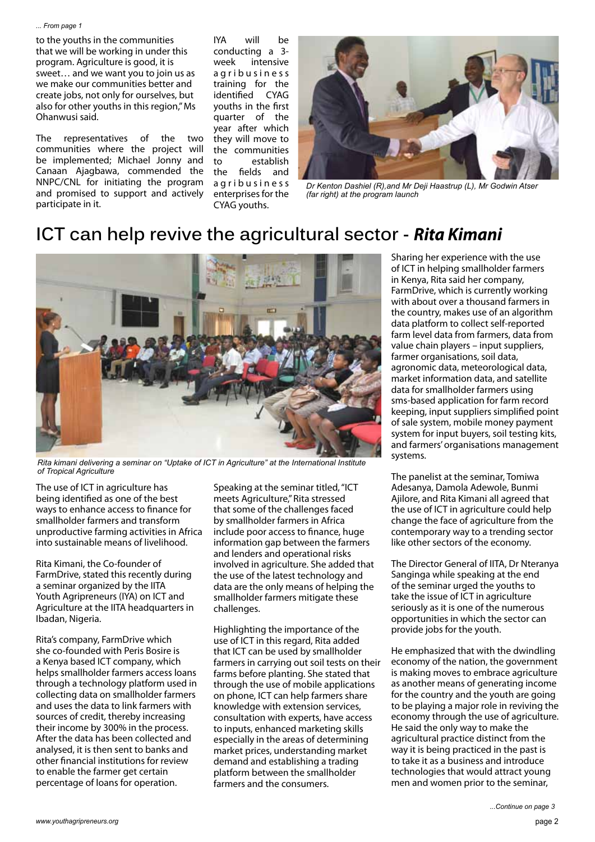#### *... From page 1*

to the youths in the communities that we will be working in under this program. Agriculture is good, it is sweet… and we want you to join us as we make our communities better and create jobs, not only for ourselves, but also for other youths in this region," Ms Ohanwusi said.

The representatives of the two communities where the project will be implemented; Michael Jonny and Canaan Ajagbawa, commended the NNPC/CNL for initiating the program and promised to support and actively participate in it.

IYA will be conducting a 3 week intensive a g r i b u s i n e s s training for the identified CYAG youths in the first quarter of the year after which they will move to the communities to establish the fields and a g r i b u s i n e s s enterprises for the CYAG youths.



*Dr Kenton Dashiel (R),and Mr Deji Haastrup (L), Mr Godwin Atser (far right) at the program launch*

#### **ICT can help revive the agricultural sector -** *Rita Kimani*



*Rita kimani delivering a seminar on "Uptake of ICT in Agriculture" at the International Institute of Tropical Agriculture*

The use of ICT in agriculture has being identified as one of the best ways to enhance access to finance for smallholder farmers and transform unproductive farming activities in Africa into sustainable means of livelihood.

Rita Kimani, the Co-founder of FarmDrive, stated this recently during a seminar organized by the IITA Youth Agripreneurs (IYA) on ICT and Agriculture at the IITA headquarters in Ibadan, Nigeria.

Rita's company, FarmDrive which she co-founded with Peris Bosire is a Kenya based ICT company, which helps smallholder farmers access loans through a technology platform used in collecting data on smallholder farmers and uses the data to link farmers with sources of credit, thereby increasing their income by 300% in the process. After the data has been collected and analysed, it is then sent to banks and other financial institutions for review to enable the farmer get certain percentage of loans for operation.

Speaking at the seminar titled, "ICT meets Agriculture," Rita stressed that some of the challenges faced by smallholder farmers in Africa include poor access to finance, huge information gap between the farmers and lenders and operational risks involved in agriculture. She added that the use of the latest technology and data are the only means of helping the smallholder farmers mitigate these challenges.

Highlighting the importance of the use of ICT in this regard, Rita added that ICT can be used by smallholder farmers in carrying out soil tests on their farms before planting. She stated that through the use of mobile applications on phone, ICT can help farmers share knowledge with extension services, consultation with experts, have access to inputs, enhanced marketing skills especially in the areas of determining market prices, understanding market demand and establishing a trading platform between the smallholder farmers and the consumers.

Sharing her experience with the use of ICT in helping smallholder farmers in Kenya, Rita said her company, FarmDrive, which is currently working with about over a thousand farmers in the country, makes use of an algorithm data platform to collect self-reported farm level data from farmers, data from value chain players – input suppliers, farmer organisations, soil data, agronomic data, meteorological data, market information data, and satellite data for smallholder farmers using sms-based application for farm record keeping, input suppliers simplified point of sale system, mobile money payment system for input buyers, soil testing kits, and farmers' organisations management systems.

The panelist at the seminar, Tomiwa Adesanya, Damola Adewole, Bunmi Ajilore, and Rita Kimani all agreed that the use of ICT in agriculture could help change the face of agriculture from the contemporary way to a trending sector like other sectors of the economy.

The Director General of IITA, Dr Nteranya Sanginga while speaking at the end of the seminar urged the youths to take the issue of ICT in agriculture seriously as it is one of the numerous opportunities in which the sector can provide jobs for the youth.

He emphasized that with the dwindling economy of the nation, the government is making moves to embrace agriculture as another means of generating income for the country and the youth are going to be playing a major role in reviving the economy through the use of agriculture. He said the only way to make the agricultural practice distinct from the way it is being practiced in the past is to take it as a business and introduce technologies that would attract young men and women prior to the seminar,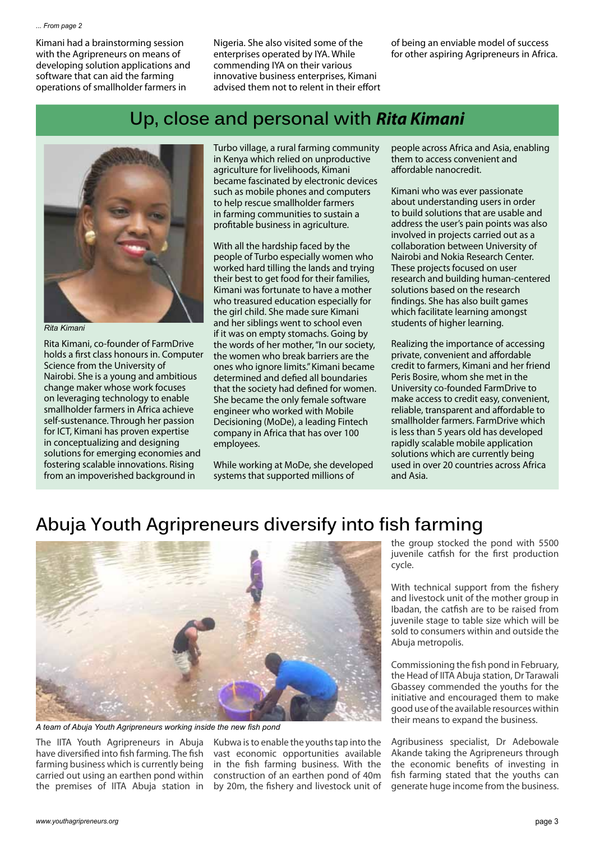Kimani had a brainstorming session with the Agripreneurs on means of developing solution applications and software that can aid the farming operations of smallholder farmers in

Nigeria. She also visited some of the enterprises operated by IYA. While commending IYA on their various innovative business enterprises, Kimani advised them not to relent in their effort of being an enviable model of success for other aspiring Agripreneurs in Africa.

## **Up, close and personal with** *Rita Kimani*



*Rita Kimani*

Rita Kimani, co-founder of FarmDrive holds a first class honours in. Computer Science from the University of Nairobi. She is a young and ambitious change maker whose work focuses on leveraging technology to enable smallholder farmers in Africa achieve self-sustenance. Through her passion for ICT, Kimani has proven expertise in conceptualizing and designing solutions for emerging economies and fostering scalable innovations. Rising from an impoverished background in

Turbo village, a rural farming community in Kenya which relied on unproductive agriculture for livelihoods, Kimani became fascinated by electronic devices such as mobile phones and computers to help rescue smallholder farmers in farming communities to sustain a profitable business in agriculture.

With all the hardship faced by the people of Turbo especially women who worked hard tilling the lands and trying their best to get food for their families, Kimani was fortunate to have a mother who treasured education especially for the girl child. She made sure Kimani and her siblings went to school even if it was on empty stomachs. Going by the words of her mother, "In our society, the women who break barriers are the ones who ignore limits." Kimani became determined and defied all boundaries that the society had defined for women. She became the only female software engineer who worked with Mobile Decisioning (MoDe), a leading Fintech company in Africa that has over 100 employees.

While working at MoDe, she developed systems that supported millions of

people across Africa and Asia, enabling them to access convenient and affordable nanocredit.

Kimani who was ever passionate about understanding users in order to build solutions that are usable and address the user's pain points was also involved in projects carried out as a collaboration between University of Nairobi and Nokia Research Center. These projects focused on user research and building human-centered solutions based on the research findings. She has also built games which facilitate learning amongst students of higher learning.

Realizing the importance of accessing private, convenient and affordable credit to farmers, Kimani and her friend Peris Bosire, whom she met in the University co-founded FarmDrive to make access to credit easy, convenient, reliable, transparent and affordable to smallholder farmers. FarmDrive which is less than 5 years old has developed rapidly scalable mobile application solutions which are currently being used in over 20 countries across Africa and Asia.

# **Abuja Youth Agripreneurs diversify into fish farming**



*A team of Abuja Youth Agripreneurs working inside the new fish pond*

The IITA Youth Agripreneurs in Abuja have diversified into fish farming. The fish farming business which is currently being carried out using an earthen pond within the premises of IITA Abuja station in

Kubwa is to enable the youths tap into the vast economic opportunities available in the fish farming business. With the construction of an earthen pond of 40m by 20m, the fishery and livestock unit of

the group stocked the pond with 5500 juvenile catfish for the first production cycle.

With technical support from the fishery and livestock unit of the mother group in Ibadan, the catfish are to be raised from juvenile stage to table size which will be sold to consumers within and outside the Abuja metropolis.

Commissioning the fish pond in February, the Head of IITA Abuja station, Dr Tarawali Gbassey commended the youths for the initiative and encouraged them to make good use of the available resources within their means to expand the business.

Agribusiness specialist, Dr Adebowale Akande taking the Agripreneurs through the economic benefits of investing in fish farming stated that the youths can generate huge income from the business.